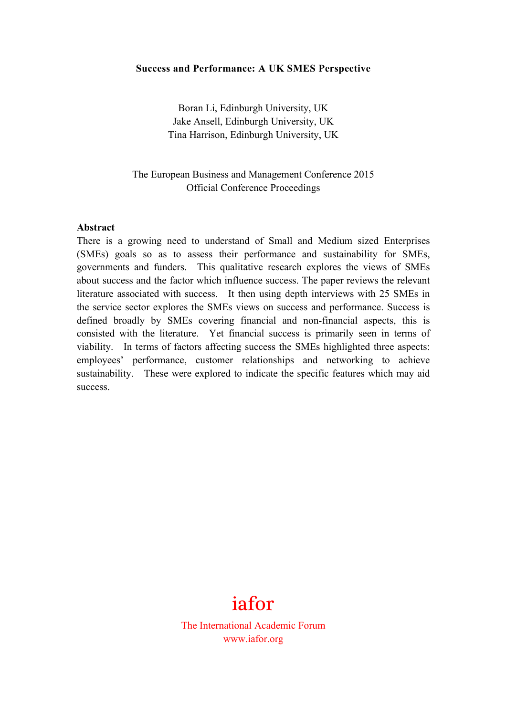#### **Success and Performance: A UK SMES Perspective**

Boran Li, Edinburgh University, UK Jake Ansell, Edinburgh University, UK Tina Harrison, Edinburgh University, UK

The European Business and Management Conference 2015 Official Conference Proceedings

#### **Abstract**

There is a growing need to understand of Small and Medium sized Enterprises (SMEs) goals so as to assess their performance and sustainability for SMEs, governments and funders. This qualitative research explores the views of SMEs about success and the factor which influence success. The paper reviews the relevant literature associated with success. It then using depth interviews with 25 SMEs in the service sector explores the SMEs views on success and performance. Success is defined broadly by SMEs covering financial and non-financial aspects, this is consisted with the literature. Yet financial success is primarily seen in terms of viability. In terms of factors affecting success the SMEs highlighted three aspects: employees' performance, customer relationships and networking to achieve sustainability. These were explored to indicate the specific features which may aid success.

# iafor

The International Academic Forum www.iafor.org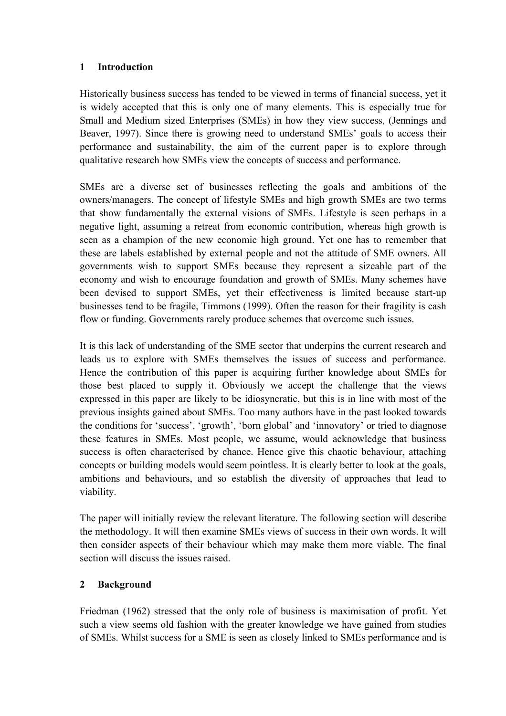## **1 Introduction**

Historically business success has tended to be viewed in terms of financial success, yet it is widely accepted that this is only one of many elements. This is especially true for Small and Medium sized Enterprises (SMEs) in how they view success, (Jennings and Beaver, 1997). Since there is growing need to understand SMEs' goals to access their performance and sustainability, the aim of the current paper is to explore through qualitative research how SMEs view the concepts of success and performance.

SMEs are a diverse set of businesses reflecting the goals and ambitions of the owners/managers. The concept of lifestyle SMEs and high growth SMEs are two terms that show fundamentally the external visions of SMEs. Lifestyle is seen perhaps in a negative light, assuming a retreat from economic contribution, whereas high growth is seen as a champion of the new economic high ground. Yet one has to remember that these are labels established by external people and not the attitude of SME owners. All governments wish to support SMEs because they represent a sizeable part of the economy and wish to encourage foundation and growth of SMEs. Many schemes have been devised to support SMEs, yet their effectiveness is limited because start-up businesses tend to be fragile, Timmons (1999). Often the reason for their fragility is cash flow or funding. Governments rarely produce schemes that overcome such issues.

It is this lack of understanding of the SME sector that underpins the current research and leads us to explore with SMEs themselves the issues of success and performance. Hence the contribution of this paper is acquiring further knowledge about SMEs for those best placed to supply it. Obviously we accept the challenge that the views expressed in this paper are likely to be idiosyncratic, but this is in line with most of the previous insights gained about SMEs. Too many authors have in the past looked towards the conditions for 'success', 'growth', 'born global' and 'innovatory' or tried to diagnose these features in SMEs. Most people, we assume, would acknowledge that business success is often characterised by chance. Hence give this chaotic behaviour, attaching concepts or building models would seem pointless. It is clearly better to look at the goals, ambitions and behaviours, and so establish the diversity of approaches that lead to viability.

The paper will initially review the relevant literature. The following section will describe the methodology. It will then examine SMEs views of success in their own words. It will then consider aspects of their behaviour which may make them more viable. The final section will discuss the issues raised.

# **2 Background**

Friedman (1962) stressed that the only role of business is maximisation of profit. Yet such a view seems old fashion with the greater knowledge we have gained from studies of SMEs. Whilst success for a SME is seen as closely linked to SMEs performance and is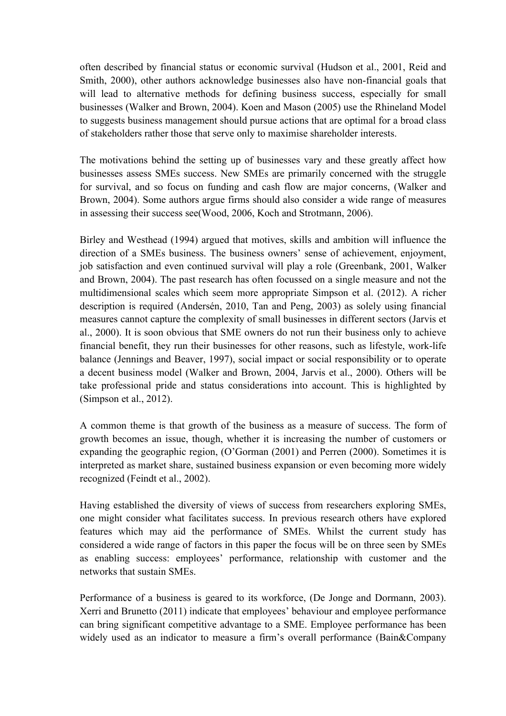often described by financial status or economic survival (Hudson et al., 2001, Reid and Smith, 2000), other authors acknowledge businesses also have non-financial goals that will lead to alternative methods for defining business success, especially for small businesses (Walker and Brown, 2004). Koen and Mason (2005) use the Rhineland Model to suggests business management should pursue actions that are optimal for a broad class of stakeholders rather those that serve only to maximise shareholder interests.

The motivations behind the setting up of businesses vary and these greatly affect how businesses assess SMEs success. New SMEs are primarily concerned with the struggle for survival, and so focus on funding and cash flow are major concerns, (Walker and Brown, 2004). Some authors argue firms should also consider a wide range of measures in assessing their success see(Wood, 2006, Koch and Strotmann, 2006).

Birley and Westhead (1994) argued that motives, skills and ambition will influence the direction of a SMEs business. The business owners' sense of achievement, enjoyment, job satisfaction and even continued survival will play a role (Greenbank, 2001, Walker and Brown, 2004). The past research has often focussed on a single measure and not the multidimensional scales which seem more appropriate Simpson et al. (2012). A richer description is required (Andersén, 2010, Tan and Peng, 2003) as solely using financial measures cannot capture the complexity of small businesses in different sectors (Jarvis et al., 2000). It is soon obvious that SME owners do not run their business only to achieve financial benefit, they run their businesses for other reasons, such as lifestyle, work-life balance (Jennings and Beaver, 1997), social impact or social responsibility or to operate a decent business model (Walker and Brown, 2004, Jarvis et al., 2000). Others will be take professional pride and status considerations into account. This is highlighted by (Simpson et al., 2012).

A common theme is that growth of the business as a measure of success. The form of growth becomes an issue, though, whether it is increasing the number of customers or expanding the geographic region, (O'Gorman (2001) and Perren (2000). Sometimes it is interpreted as market share, sustained business expansion or even becoming more widely recognized (Feindt et al., 2002).

Having established the diversity of views of success from researchers exploring SMEs, one might consider what facilitates success. In previous research others have explored features which may aid the performance of SMEs. Whilst the current study has considered a wide range of factors in this paper the focus will be on three seen by SMEs as enabling success: employees' performance, relationship with customer and the networks that sustain SMEs.

Performance of a business is geared to its workforce, (De Jonge and Dormann, 2003). Xerri and Brunetto (2011) indicate that employees' behaviour and employee performance can bring significant competitive advantage to a SME. Employee performance has been widely used as an indicator to measure a firm's overall performance (Bain&Company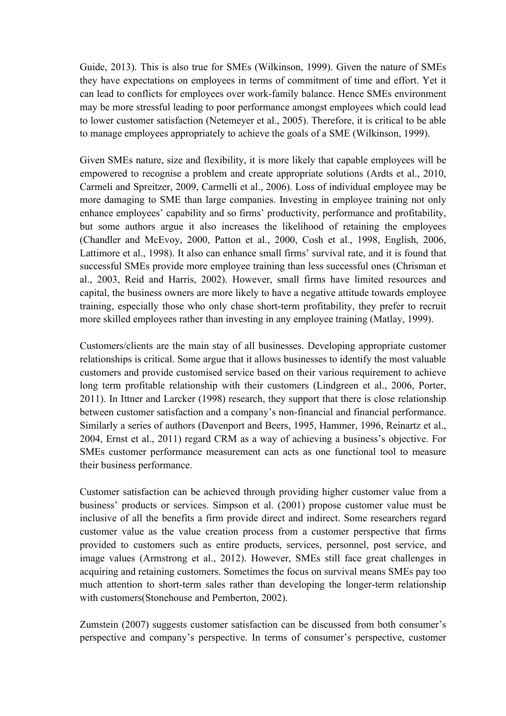Guide, 2013). This is also true for SMEs (Wilkinson, 1999). Given the nature of SMEs they have expectations on employees in terms of commitment of time and effort. Yet it can lead to conflicts for employees over work-family balance. Hence SMEs environment may be more stressful leading to poor performance amongst employees which could lead to lower customer satisfaction (Netemeyer et al., 2005). Therefore, it is critical to be able to manage employees appropriately to achieve the goals of a SME (Wilkinson, 1999).

Given SMEs nature, size and flexibility, it is more likely that capable employees will be empowered to recognise a problem and create appropriate solutions (Ardts et al., 2010, Carmeli and Spreitzer, 2009, Carmelli et al., 2006). Loss of individual employee may be more damaging to SME than large companies. Investing in employee training not only enhance employees' capability and so firms' productivity, performance and profitability, but some authors argue it also increases the likelihood of retaining the employees (Chandler and McEvoy, 2000, Patton et al., 2000, Cosh et al., 1998, English, 2006, Lattimore et al., 1998). It also can enhance small firms' survival rate, and it is found that successful SMEs provide more employee training than less successful ones (Chrisman et al., 2003, Reid and Harris, 2002). However, small firms have limited resources and capital, the business owners are more likely to have a negative attitude towards employee training, especially those who only chase short-term profitability, they prefer to recruit more skilled employees rather than investing in any employee training (Matlay, 1999).

Customers/clients are the main stay of all businesses. Developing appropriate customer relationships is critical. Some argue that it allows businesses to identify the most valuable customers and provide customised service based on their various requirement to achieve long term profitable relationship with their customers (Lindgreen et al., 2006, Porter, 2011). In Ittner and Larcker (1998) research, they support that there is close relationship between customer satisfaction and a company's non-financial and financial performance. Similarly a series of authors (Davenport and Beers, 1995, Hammer, 1996, Reinartz et al., 2004, Ernst et al., 2011) regard CRM as a way of achieving a business's objective. For SMEs customer performance measurement can acts as one functional tool to measure their business performance.

Customer satisfaction can be achieved through providing higher customer value from a business' products or services. Simpson et al. (2001) propose customer value must be inclusive of all the benefits a firm provide direct and indirect. Some researchers regard customer value as the value creation process from a customer perspective that firms provided to customers such as entire products, services, personnel, post service, and image values (Armstrong et al., 2012). However, SMEs still face great challenges in acquiring and retaining customers. Sometimes the focus on survival means SMEs pay too much attention to short-term sales rather than developing the longer-term relationship with customers(Stonehouse and Pemberton, 2002).

Zumstein (2007) suggests customer satisfaction can be discussed from both consumer's perspective and company's perspective. In terms of consumer's perspective, customer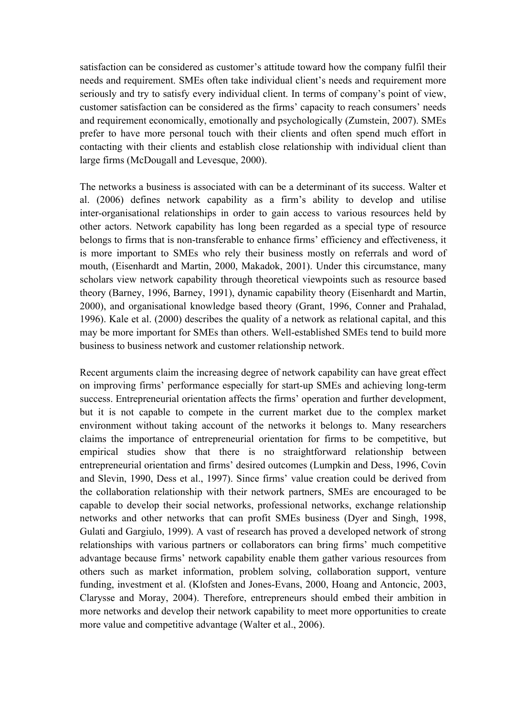satisfaction can be considered as customer's attitude toward how the company fulfil their needs and requirement. SMEs often take individual client's needs and requirement more seriously and try to satisfy every individual client. In terms of company's point of view, customer satisfaction can be considered as the firms' capacity to reach consumers' needs and requirement economically, emotionally and psychologically (Zumstein, 2007). SMEs prefer to have more personal touch with their clients and often spend much effort in contacting with their clients and establish close relationship with individual client than large firms (McDougall and Levesque, 2000).

The networks a business is associated with can be a determinant of its success. Walter et al. (2006) defines network capability as a firm's ability to develop and utilise inter-organisational relationships in order to gain access to various resources held by other actors. Network capability has long been regarded as a special type of resource belongs to firms that is non-transferable to enhance firms' efficiency and effectiveness, it is more important to SMEs who rely their business mostly on referrals and word of mouth, (Eisenhardt and Martin, 2000, Makadok, 2001). Under this circumstance, many scholars view network capability through theoretical viewpoints such as resource based theory (Barney, 1996, Barney, 1991), dynamic capability theory (Eisenhardt and Martin, 2000), and organisational knowledge based theory (Grant, 1996, Conner and Prahalad, 1996). Kale et al. (2000) describes the quality of a network as relational capital, and this may be more important for SMEs than others. Well-established SMEs tend to build more business to business network and customer relationship network.

Recent arguments claim the increasing degree of network capability can have great effect on improving firms' performance especially for start-up SMEs and achieving long-term success. Entrepreneurial orientation affects the firms' operation and further development, but it is not capable to compete in the current market due to the complex market environment without taking account of the networks it belongs to. Many researchers claims the importance of entrepreneurial orientation for firms to be competitive, but empirical studies show that there is no straightforward relationship between entrepreneurial orientation and firms' desired outcomes (Lumpkin and Dess, 1996, Covin and Slevin, 1990, Dess et al., 1997). Since firms' value creation could be derived from the collaboration relationship with their network partners, SMEs are encouraged to be capable to develop their social networks, professional networks, exchange relationship networks and other networks that can profit SMEs business (Dyer and Singh, 1998, Gulati and Gargiulo, 1999). A vast of research has proved a developed network of strong relationships with various partners or collaborators can bring firms' much competitive advantage because firms' network capability enable them gather various resources from others such as market information, problem solving, collaboration support, venture funding, investment et al. (Klofsten and Jones-Evans, 2000, Hoang and Antoncic, 2003, Clarysse and Moray, 2004). Therefore, entrepreneurs should embed their ambition in more networks and develop their network capability to meet more opportunities to create more value and competitive advantage (Walter et al., 2006).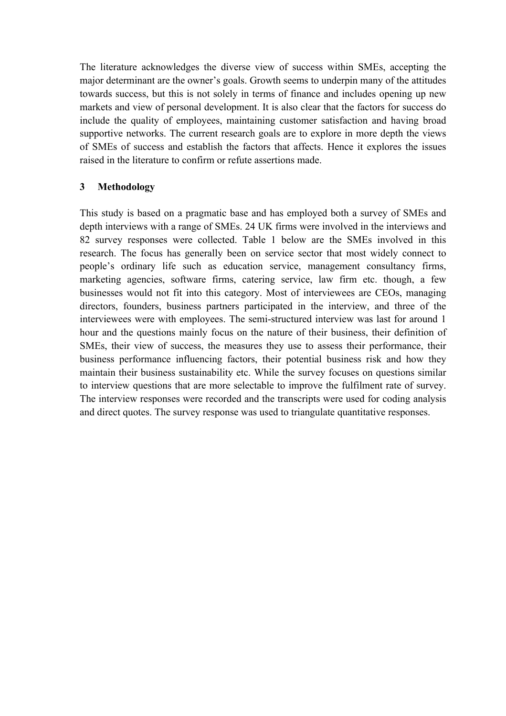The literature acknowledges the diverse view of success within SMEs, accepting the major determinant are the owner's goals. Growth seems to underpin many of the attitudes towards success, but this is not solely in terms of finance and includes opening up new markets and view of personal development. It is also clear that the factors for success do include the quality of employees, maintaining customer satisfaction and having broad supportive networks. The current research goals are to explore in more depth the views of SMEs of success and establish the factors that affects. Hence it explores the issues raised in the literature to confirm or refute assertions made.

## **3 Methodology**

This study is based on a pragmatic base and has employed both a survey of SMEs and depth interviews with a range of SMEs. 24 UK firms were involved in the interviews and 82 survey responses were collected. Table 1 below are the SMEs involved in this research. The focus has generally been on service sector that most widely connect to people's ordinary life such as education service, management consultancy firms, marketing agencies, software firms, catering service, law firm etc. though, a few businesses would not fit into this category. Most of interviewees are CEOs, managing directors, founders, business partners participated in the interview, and three of the interviewees were with employees. The semi-structured interview was last for around 1 hour and the questions mainly focus on the nature of their business, their definition of SMEs, their view of success, the measures they use to assess their performance, their business performance influencing factors, their potential business risk and how they maintain their business sustainability etc. While the survey focuses on questions similar to interview questions that are more selectable to improve the fulfilment rate of survey. The interview responses were recorded and the transcripts were used for coding analysis and direct quotes. The survey response was used to triangulate quantitative responses.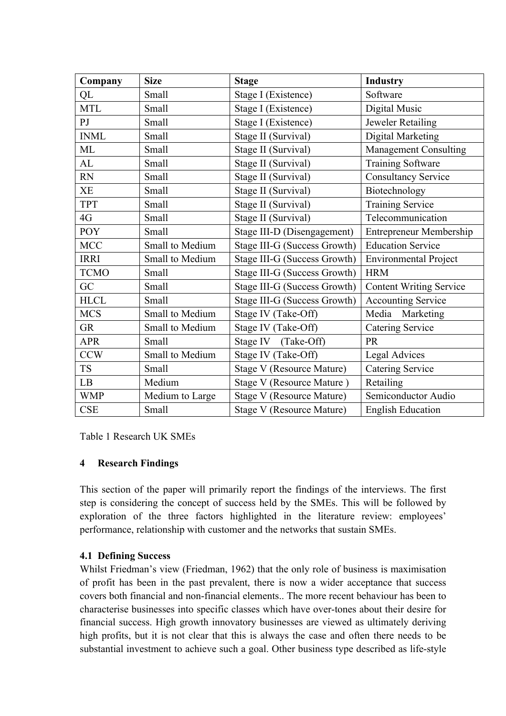| Company        | <b>Size</b>     | <b>Stage</b>                     | <b>Industry</b>                |
|----------------|-----------------|----------------------------------|--------------------------------|
| QL             | Small           | Stage I (Existence)              | Software                       |
| <b>MTL</b>     | Small           | Stage I (Existence)              | Digital Music                  |
| $\overline{P}$ | Small           | Stage I (Existence)              | Jeweler Retailing              |
| <b>INML</b>    | Small           | Stage II (Survival)              | Digital Marketing              |
| ML             | Small           | Stage II (Survival)              | <b>Management Consulting</b>   |
| AL             | Small           | Stage II (Survival)              | <b>Training Software</b>       |
| <b>RN</b>      | Small           | Stage II (Survival)              | <b>Consultancy Service</b>     |
| XE             | Small           | Stage II (Survival)              | Biotechnology                  |
| <b>TPT</b>     | Small           | Stage II (Survival)              | Training Service               |
| 4G             | Small           | Stage II (Survival)              | Telecommunication              |
| POY            | Small           | Stage III-D (Disengagement)      | <b>Entrepreneur Membership</b> |
| <b>MCC</b>     | Small to Medium | Stage III-G (Success Growth)     | <b>Education Service</b>       |
| <b>IRRI</b>    | Small to Medium | Stage III-G (Success Growth)     | <b>Environmental Project</b>   |
| <b>TCMO</b>    | Small           | Stage III-G (Success Growth)     | <b>HRM</b>                     |
| GC             | Small           | Stage III-G (Success Growth)     | <b>Content Writing Service</b> |
| <b>HLCL</b>    | Small           | Stage III-G (Success Growth)     | <b>Accounting Service</b>      |
| <b>MCS</b>     | Small to Medium | Stage IV (Take-Off)              | Media<br>Marketing             |
| <b>GR</b>      | Small to Medium | Stage IV (Take-Off)              | <b>Catering Service</b>        |
| <b>APR</b>     | Small           | Stage IV<br>(Take-Off)           | PR                             |
| <b>CCW</b>     | Small to Medium | Stage IV (Take-Off)              | <b>Legal Advices</b>           |
| <b>TS</b>      | Small           | <b>Stage V (Resource Mature)</b> | <b>Catering Service</b>        |
| LB             | Medium          | Stage V (Resource Mature)        | Retailing                      |
| <b>WMP</b>     | Medium to Large | <b>Stage V (Resource Mature)</b> | Semiconductor Audio            |
| <b>CSE</b>     | Small           | <b>Stage V (Resource Mature)</b> | <b>English Education</b>       |

Table 1 Research UK SMEs

### **4 Research Findings**

This section of the paper will primarily report the findings of the interviews. The first step is considering the concept of success held by the SMEs. This will be followed by exploration of the three factors highlighted in the literature review: employees' performance, relationship with customer and the networks that sustain SMEs.

### **4.1 Defining Success**

Whilst Friedman's view (Friedman, 1962) that the only role of business is maximisation of profit has been in the past prevalent, there is now a wider acceptance that success covers both financial and non-financial elements.. The more recent behaviour has been to characterise businesses into specific classes which have over-tones about their desire for financial success. High growth innovatory businesses are viewed as ultimately deriving high profits, but it is not clear that this is always the case and often there needs to be substantial investment to achieve such a goal. Other business type described as life-style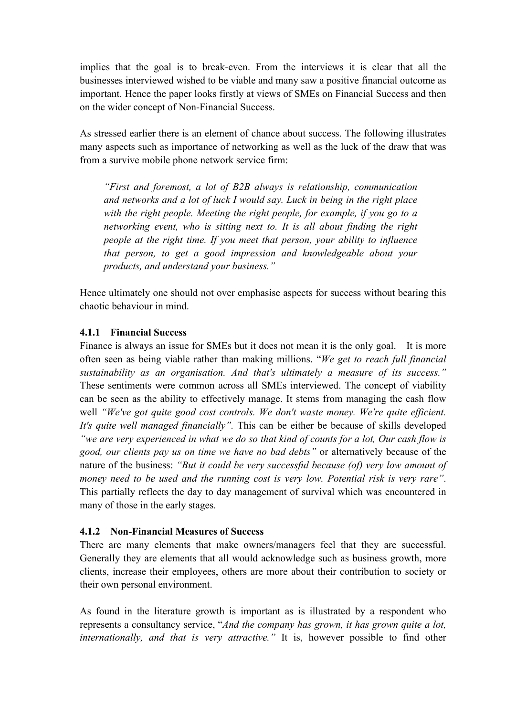implies that the goal is to break-even. From the interviews it is clear that all the businesses interviewed wished to be viable and many saw a positive financial outcome as important. Hence the paper looks firstly at views of SMEs on Financial Success and then on the wider concept of Non-Financial Success.

As stressed earlier there is an element of chance about success. The following illustrates many aspects such as importance of networking as well as the luck of the draw that was from a survive mobile phone network service firm:

*"First and foremost, a lot of B2B always is relationship, communication and networks and a lot of luck I would say. Luck in being in the right place with the right people. Meeting the right people, for example, if you go to a networking event, who is sitting next to. It is all about finding the right people at the right time. If you meet that person, your ability to influence that person, to get a good impression and knowledgeable about your products, and understand your business."*

Hence ultimately one should not over emphasise aspects for success without bearing this chaotic behaviour in mind.

### **4.1.1 Financial Success**

Finance is always an issue for SMEs but it does not mean it is the only goal. It is more often seen as being viable rather than making millions. "*We get to reach full financial sustainability as an organisation. And that's ultimately a measure of its success."* These sentiments were common across all SMEs interviewed. The concept of viability can be seen as the ability to effectively manage. It stems from managing the cash flow well *"We've got quite good cost controls. We don't waste money. We're quite efficient. It's quite well managed financially".* This can be either be because of skills developed *"we are very experienced in what we do so that kind of counts for a lot, Our cash flow is good, our clients pay us on time we have no bad debts"* or alternatively because of the nature of the business: *"But it could be very successful because (of) very low amount of money need to be used and the running cost is very low. Potential risk is very rare"*. This partially reflects the day to day management of survival which was encountered in many of those in the early stages.

### **4.1.2 Non-Financial Measures of Success**

There are many elements that make owners/managers feel that they are successful. Generally they are elements that all would acknowledge such as business growth, more clients, increase their employees, others are more about their contribution to society or their own personal environment.

As found in the literature growth is important as is illustrated by a respondent who represents a consultancy service, "*And the company has grown, it has grown quite a lot, internationally, and that is very attractive."* It is, however possible to find other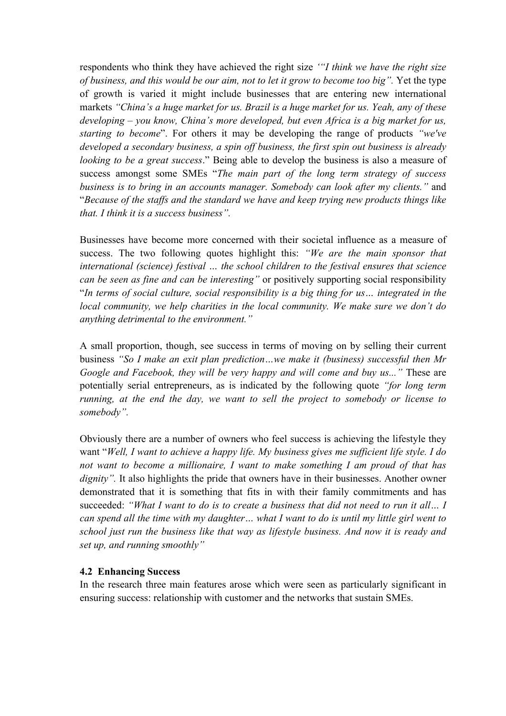respondents who think they have achieved the right size *'"I think we have the right size of business, and this would be our aim, not to let it grow to become too big".* Yet the type of growth is varied it might include businesses that are entering new international markets *"China's a huge market for us. Brazil is a huge market for us. Yeah, any of these developing – you know, China's more developed, but even Africa is a big market for us, starting to become*". For others it may be developing the range of products *"we've developed a secondary business, a spin off business, the first spin out business is already looking to be a great success*." Being able to develop the business is also a measure of success amongst some SMEs "*The main part of the long term strategy of success business is to bring in an accounts manager. Somebody can look after my clients."* and "*Because of the staffs and the standard we have and keep trying new products things like that. I think it is a success business".* 

Businesses have become more concerned with their societal influence as a measure of success. The two following quotes highlight this: *"We are the main sponsor that international (science) festival … the school children to the festival ensures that science can be seen as fine and can be interesting"* or positively supporting social responsibility "*In terms of social culture, social responsibility is a big thing for us… integrated in the local community, we help charities in the local community. We make sure we don't do anything detrimental to the environment."*

A small proportion, though, see success in terms of moving on by selling their current business *"So I make an exit plan prediction…we make it (business) successful then Mr Google and Facebook, they will be very happy and will come and buy us..."* These are potentially serial entrepreneurs, as is indicated by the following quote *"for long term running, at the end the day, we want to sell the project to somebody or license to somebody".*

Obviously there are a number of owners who feel success is achieving the lifestyle they want "*Well, I want to achieve a happy life. My business gives me sufficient life style. I do not want to become a millionaire, I want to make something I am proud of that has dignity*". It also highlights the pride that owners have in their businesses. Another owner demonstrated that it is something that fits in with their family commitments and has succeeded: *"What I want to do is to create a business that did not need to run it all… I can spend all the time with my daughter… what I want to do is until my little girl went to school just run the business like that way as lifestyle business. And now it is ready and set up, and running smoothly"*

#### **4.2 Enhancing Success**

In the research three main features arose which were seen as particularly significant in ensuring success: relationship with customer and the networks that sustain SMEs.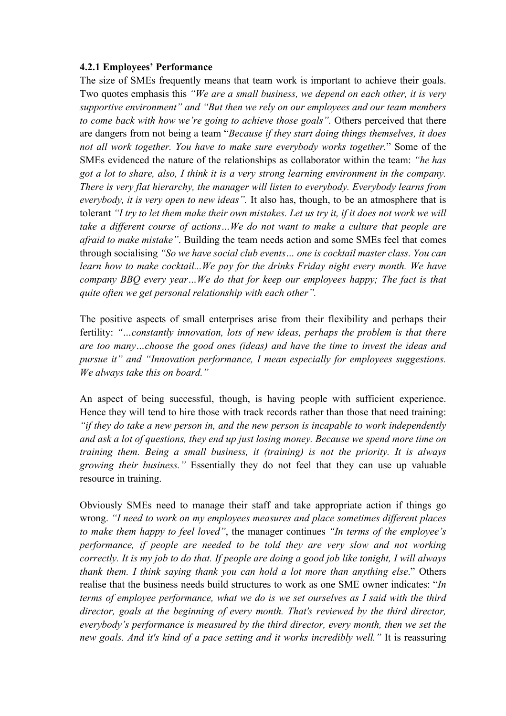#### **4.2.1 Employees' Performance**

The size of SMEs frequently means that team work is important to achieve their goals. Two quotes emphasis this *"We are a small business, we depend on each other, it is very supportive environment" and "But then we rely on our employees and our team members to come back with how we're going to achieve those goals".* Others perceived that there are dangers from not being a team "*Because if they start doing things themselves, it does not all work together. You have to make sure everybody works together.*" Some of the SMEs evidenced the nature of the relationships as collaborator within the team: *"he has got a lot to share, also, I think it is a very strong learning environment in the company. There is very flat hierarchy, the manager will listen to everybody. Everybody learns from everybody, it is very open to new ideas".* It also has, though, to be an atmosphere that is tolerant *"I try to let them make their own mistakes. Let us try it, if it does not work we will take a different course of actions…We do not want to make a culture that people are afraid to make mistake"*. Building the team needs action and some SMEs feel that comes through socialising *"So we have social club events… one is cocktail master class. You can learn how to make cocktail...We pay for the drinks Friday night every month. We have company BBQ every year…We do that for keep our employees happy; The fact is that quite often we get personal relationship with each other".*

The positive aspects of small enterprises arise from their flexibility and perhaps their fertility: *"…constantly innovation, lots of new ideas, perhaps the problem is that there are too many…choose the good ones (ideas) and have the time to invest the ideas and pursue it" and "Innovation performance, I mean especially for employees suggestions. We always take this on board."*

An aspect of being successful, though, is having people with sufficient experience. Hence they will tend to hire those with track records rather than those that need training: *"if they do take a new person in, and the new person is incapable to work independently and ask a lot of questions, they end up just losing money. Because we spend more time on training them. Being a small business, it (training) is not the priority. It is always growing their business."* Essentially they do not feel that they can use up valuable resource in training.

Obviously SMEs need to manage their staff and take appropriate action if things go wrong. *"I need to work on my employees measures and place sometimes different places to make them happy to feel loved"*, the manager continues *"In terms of the employee's performance, if people are needed to be told they are very slow and not working correctly. It is my job to do that. If people are doing a good job like tonight, I will always thank them. I think saying thank you can hold a lot more than anything else*." Others realise that the business needs build structures to work as one SME owner indicates: "*In terms of employee performance, what we do is we set ourselves as I said with the third director, goals at the beginning of every month. That's reviewed by the third director, everybody's performance is measured by the third director, every month, then we set the new goals. And it's kind of a pace setting and it works incredibly well."* It is reassuring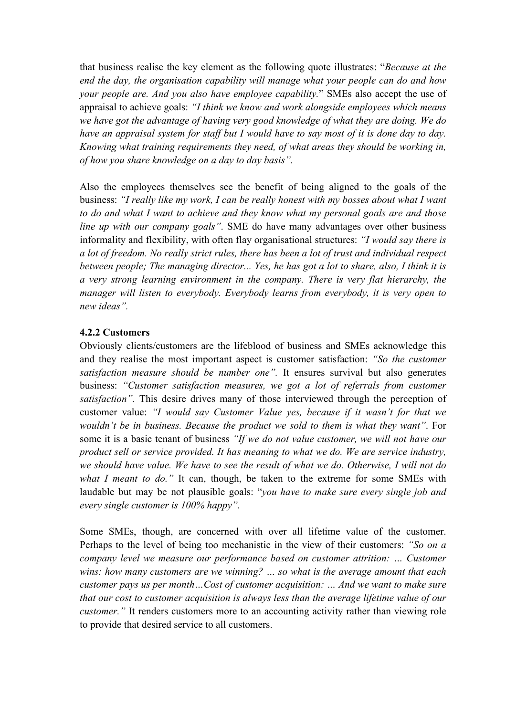that business realise the key element as the following quote illustrates: "*Because at the end the day, the organisation capability will manage what your people can do and how your people are. And you also have employee capability.*" SMEs also accept the use of appraisal to achieve goals: *"I think we know and work alongside employees which means we have got the advantage of having very good knowledge of what they are doing. We do have an appraisal system for staff but I would have to say most of it is done day to day. Knowing what training requirements they need, of what areas they should be working in, of how you share knowledge on a day to day basis".*

Also the employees themselves see the benefit of being aligned to the goals of the business: *"I really like my work, I can be really honest with my bosses about what I want to do and what I want to achieve and they know what my personal goals are and those line up with our company goals"*. SME do have many advantages over other business informality and flexibility, with often flay organisational structures: *"I would say there is a lot of freedom. No really strict rules, there has been a lot of trust and individual respect between people; The managing director... Yes, he has got a lot to share, also, I think it is a very strong learning environment in the company. There is very flat hierarchy, the manager will listen to everybody. Everybody learns from everybody, it is very open to new ideas".*

### **4.2.2 Customers**

Obviously clients/customers are the lifeblood of business and SMEs acknowledge this and they realise the most important aspect is customer satisfaction: *"So the customer satisfaction measure should be number one".* It ensures survival but also generates business: *"Customer satisfaction measures, we got a lot of referrals from customer satisfaction*". This desire drives many of those interviewed through the perception of customer value: *"I would say Customer Value yes, because if it wasn't for that we wouldn't be in business. Because the product we sold to them is what they want"*. For some it is a basic tenant of business *"If we do not value customer, we will not have our product sell or service provided. It has meaning to what we do. We are service industry, we should have value. We have to see the result of what we do. Otherwise, I will not do what I meant to do."* It can, though, be taken to the extreme for some SMEs with laudable but may be not plausible goals: "*you have to make sure every single job and every single customer is 100% happy".*

Some SMEs, though, are concerned with over all lifetime value of the customer. Perhaps to the level of being too mechanistic in the view of their customers: *"So on a company level we measure our performance based on customer attrition: … Customer wins: how many customers are we winning? … so what is the average amount that each customer pays us per month…Cost of customer acquisition: … And we want to make sure that our cost to customer acquisition is always less than the average lifetime value of our customer.*" It renders customers more to an accounting activity rather than viewing role to provide that desired service to all customers.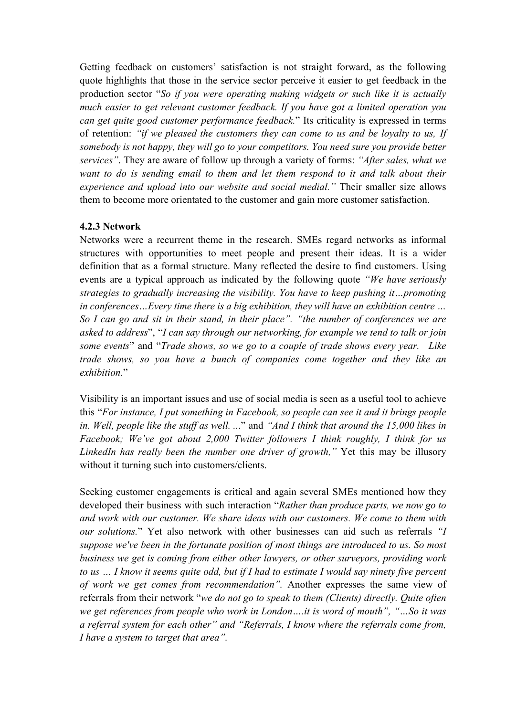Getting feedback on customers' satisfaction is not straight forward, as the following quote highlights that those in the service sector perceive it easier to get feedback in the production sector "*So if you were operating making widgets or such like it is actually much easier to get relevant customer feedback. If you have got a limited operation you can get quite good customer performance feedback.*" Its criticality is expressed in terms of retention: *"if we pleased the customers they can come to us and be loyalty to us, If somebody is not happy, they will go to your competitors. You need sure you provide better services"*. They are aware of follow up through a variety of forms: *"After sales, what we want to do is sending email to them and let them respond to it and talk about their experience and upload into our website and social medial."* Their smaller size allows them to become more orientated to the customer and gain more customer satisfaction.

### **4.2.3 Network**

Networks were a recurrent theme in the research. SMEs regard networks as informal structures with opportunities to meet people and present their ideas. It is a wider definition that as a formal structure. Many reflected the desire to find customers. Using events are a typical approach as indicated by the following quote *"We have seriously strategies to gradually increasing the visibility. You have to keep pushing it…promoting in conferences…Every time there is a big exhibition, they will have an exhibition centre … So I can go and sit in their stand, in their place". "the number of conferences we are asked to address*", "*I can say through our networking, for example we tend to talk or join some events*" and "*Trade shows, so we go to a couple of trade shows every year. Like trade shows, so you have a bunch of companies come together and they like an exhibition.*"

Visibility is an important issues and use of social media is seen as a useful tool to achieve this "*For instance, I put something in Facebook, so people can see it and it brings people in. Well, people like the stuff as well. ..*." and *"And I think that around the 15,000 likes in Facebook; We've got about 2,000 Twitter followers I think roughly, I think for us LinkedIn has really been the number one driver of growth,"* Yet this may be illusory without it turning such into customers/clients.

Seeking customer engagements is critical and again several SMEs mentioned how they developed their business with such interaction "*Rather than produce parts, we now go to and work with our customer. We share ideas with our customers. We come to them with our solutions.*" Yet also network with other businesses can aid such as referrals *"I suppose we've been in the fortunate position of most things are introduced to us. So most business we get is coming from either other lawyers, or other surveyors, providing work to us … I know it seems quite odd, but if I had to estimate I would say ninety five percent of work we get comes from recommendation".* Another expresses the same view of referrals from their network "*we do not go to speak to them (Clients) directly. Quite often we get references from people who work in London….it is word of mouth", "…So it was a referral system for each other" and "Referrals, I know where the referrals come from, I have a system to target that area".*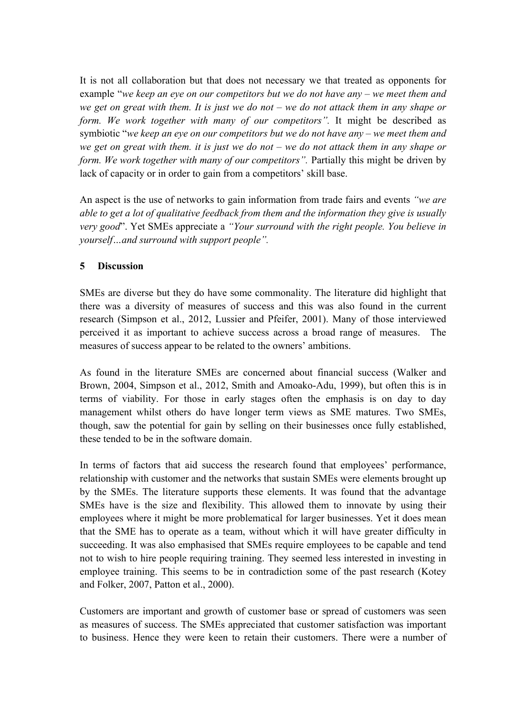It is not all collaboration but that does not necessary we that treated as opponents for example "*we keep an eye on our competitors but we do not have any – we meet them and we get on great with them. It is just we do not – we do not attack them in any shape or form. We work together with many of our competitors*". It might be described as symbiotic "*we keep an eye on our competitors but we do not have any – we meet them and we get on great with them. it is just we do not – we do not attack them in any shape or form. We work together with many of our competitors".* Partially this might be driven by lack of capacity or in order to gain from a competitors' skill base.

An aspect is the use of networks to gain information from trade fairs and events *"we are able to get a lot of qualitative feedback from them and the information they give is usually very good*". Yet SMEs appreciate a *"Your surround with the right people. You believe in yourself…and surround with support people".*

### **5 Discussion**

SMEs are diverse but they do have some commonality. The literature did highlight that there was a diversity of measures of success and this was also found in the current research (Simpson et al., 2012, Lussier and Pfeifer, 2001). Many of those interviewed perceived it as important to achieve success across a broad range of measures. The measures of success appear to be related to the owners' ambitions.

As found in the literature SMEs are concerned about financial success (Walker and Brown, 2004, Simpson et al., 2012, Smith and Amoako-Adu, 1999), but often this is in terms of viability. For those in early stages often the emphasis is on day to day management whilst others do have longer term views as SME matures. Two SMEs, though, saw the potential for gain by selling on their businesses once fully established, these tended to be in the software domain.

In terms of factors that aid success the research found that employees' performance, relationship with customer and the networks that sustain SMEs were elements brought up by the SMEs. The literature supports these elements. It was found that the advantage SMEs have is the size and flexibility. This allowed them to innovate by using their employees where it might be more problematical for larger businesses. Yet it does mean that the SME has to operate as a team, without which it will have greater difficulty in succeeding. It was also emphasised that SMEs require employees to be capable and tend not to wish to hire people requiring training. They seemed less interested in investing in employee training. This seems to be in contradiction some of the past research (Kotey and Folker, 2007, Patton et al., 2000).

Customers are important and growth of customer base or spread of customers was seen as measures of success. The SMEs appreciated that customer satisfaction was important to business. Hence they were keen to retain their customers. There were a number of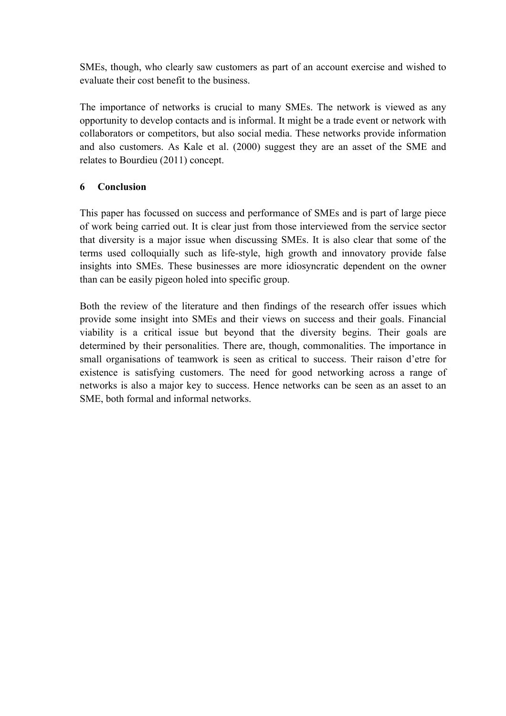SMEs, though, who clearly saw customers as part of an account exercise and wished to evaluate their cost benefit to the business.

The importance of networks is crucial to many SMEs. The network is viewed as any opportunity to develop contacts and is informal. It might be a trade event or network with collaborators or competitors, but also social media. These networks provide information and also customers. As Kale et al. (2000) suggest they are an asset of the SME and relates to Bourdieu (2011) concept.

# **6 Conclusion**

This paper has focussed on success and performance of SMEs and is part of large piece of work being carried out. It is clear just from those interviewed from the service sector that diversity is a major issue when discussing SMEs. It is also clear that some of the terms used colloquially such as life-style, high growth and innovatory provide false insights into SMEs. These businesses are more idiosyncratic dependent on the owner than can be easily pigeon holed into specific group.

Both the review of the literature and then findings of the research offer issues which provide some insight into SMEs and their views on success and their goals. Financial viability is a critical issue but beyond that the diversity begins. Their goals are determined by their personalities. There are, though, commonalities. The importance in small organisations of teamwork is seen as critical to success. Their raison d'etre for existence is satisfying customers. The need for good networking across a range of networks is also a major key to success. Hence networks can be seen as an asset to an SME, both formal and informal networks.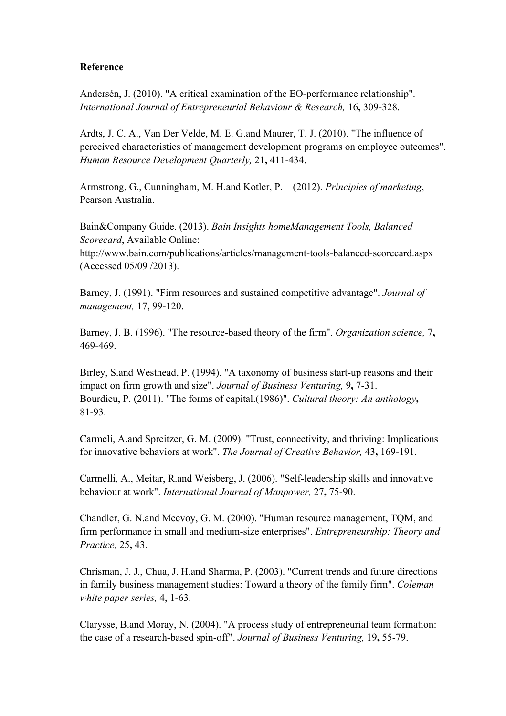### **Reference**

Andersén, J. (2010). "A critical examination of the EO-performance relationship". *International Journal of Entrepreneurial Behaviour & Research,* 16**,** 309-328.

Ardts, J. C. A., Van Der Velde, M. E. G.and Maurer, T. J. (2010). "The influence of perceived characteristics of management development programs on employee outcomes". *Human Resource Development Quarterly,* 21**,** 411-434.

Armstrong, G., Cunningham, M. H.and Kotler, P. (2012). *Principles of marketing*, Pearson Australia.

Bain&Company Guide. (2013). *Bain Insights homeManagement Tools, Balanced Scorecard*, Available Online:

http://www.bain.com/publications/articles/management-tools-balanced-scorecard.aspx (Accessed 05/09 /2013).

Barney, J. (1991). "Firm resources and sustained competitive advantage". *Journal of management,* 17**,** 99-120.

Barney, J. B. (1996). "The resource-based theory of the firm". *Organization science,* 7**,** 469-469.

Birley, S.and Westhead, P. (1994). "A taxonomy of business start-up reasons and their impact on firm growth and size". *Journal of Business Venturing,* 9**,** 7-31. Bourdieu, P. (2011). "The forms of capital.(1986)". *Cultural theory: An anthology***,** 81-93.

Carmeli, A.and Spreitzer, G. M. (2009). "Trust, connectivity, and thriving: Implications for innovative behaviors at work". *The Journal of Creative Behavior,* 43**,** 169-191.

Carmelli, A., Meitar, R.and Weisberg, J. (2006). "Self-leadership skills and innovative behaviour at work". *International Journal of Manpower,* 27**,** 75-90.

Chandler, G. N.and Mcevoy, G. M. (2000). "Human resource management, TQM, and firm performance in small and medium-size enterprises". *Entrepreneurship: Theory and Practice,* 25**,** 43.

Chrisman, J. J., Chua, J. H.and Sharma, P. (2003). "Current trends and future directions in family business management studies: Toward a theory of the family firm". *Coleman white paper series,* 4**,** 1-63.

Clarysse, B.and Moray, N. (2004). "A process study of entrepreneurial team formation: the case of a research-based spin-off". *Journal of Business Venturing,* 19**,** 55-79.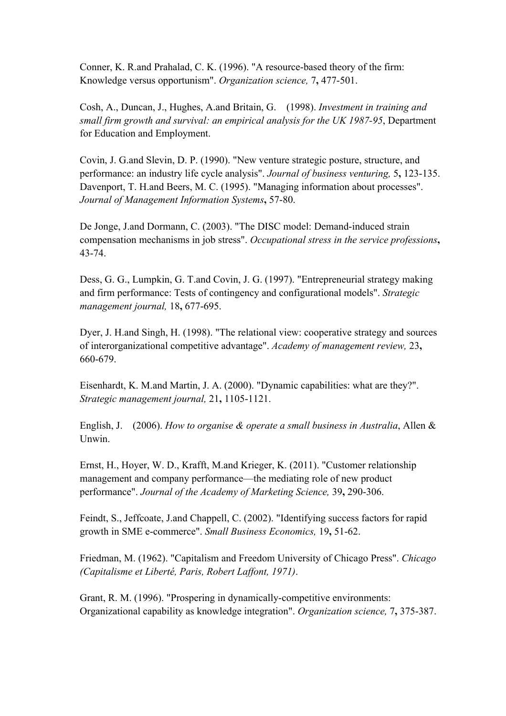Conner, K. R.and Prahalad, C. K. (1996). "A resource-based theory of the firm: Knowledge versus opportunism". *Organization science,* 7**,** 477-501.

Cosh, A., Duncan, J., Hughes, A.and Britain, G. (1998). *Investment in training and small firm growth and survival: an empirical analysis for the UK 1987-95*, Department for Education and Employment.

Covin, J. G.and Slevin, D. P. (1990). "New venture strategic posture, structure, and performance: an industry life cycle analysis". *Journal of business venturing,* 5**,** 123-135. Davenport, T. H.and Beers, M. C. (1995). "Managing information about processes". *Journal of Management Information Systems***,** 57-80.

De Jonge, J.and Dormann, C. (2003). "The DISC model: Demand-induced strain compensation mechanisms in job stress". *Occupational stress in the service professions***,** 43-74.

Dess, G. G., Lumpkin, G. T.and Covin, J. G. (1997). "Entrepreneurial strategy making and firm performance: Tests of contingency and configurational models". *Strategic management journal,* 18**,** 677-695.

Dyer, J. H.and Singh, H. (1998). "The relational view: cooperative strategy and sources of interorganizational competitive advantage". *Academy of management review,* 23**,** 660-679.

Eisenhardt, K. M.and Martin, J. A. (2000). "Dynamic capabilities: what are they?". *Strategic management journal,* 21**,** 1105-1121.

English, J. (2006). *How to organise & operate a small business in Australia*, Allen & Unwin.

Ernst, H., Hoyer, W. D., Krafft, M.and Krieger, K. (2011). "Customer relationship management and company performance—the mediating role of new product performance". *Journal of the Academy of Marketing Science,* 39**,** 290-306.

Feindt, S., Jeffcoate, J.and Chappell, C. (2002). "Identifying success factors for rapid growth in SME e-commerce". *Small Business Economics,* 19**,** 51-62.

Friedman, M. (1962). "Capitalism and Freedom University of Chicago Press". *Chicago (Capitalisme et Liberté, Paris, Robert Laffont, 1971)*.

Grant, R. M. (1996). "Prospering in dynamically-competitive environments: Organizational capability as knowledge integration". *Organization science,* 7**,** 375-387.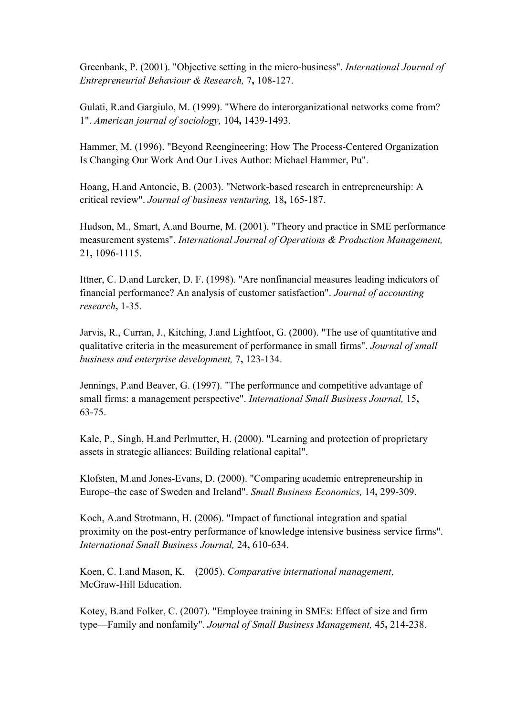Greenbank, P. (2001). "Objective setting in the micro-business". *International Journal of Entrepreneurial Behaviour & Research,* 7**,** 108-127.

Gulati, R.and Gargiulo, M. (1999). "Where do interorganizational networks come from? 1". *American journal of sociology,* 104**,** 1439-1493.

Hammer, M. (1996). "Beyond Reengineering: How The Process-Centered Organization Is Changing Our Work And Our Lives Author: Michael Hammer, Pu".

Hoang, H.and Antoncic, B. (2003). "Network-based research in entrepreneurship: A critical review". *Journal of business venturing,* 18**,** 165-187.

Hudson, M., Smart, A.and Bourne, M. (2001). "Theory and practice in SME performance measurement systems". *International Journal of Operations & Production Management,* 21**,** 1096-1115.

Ittner, C. D.and Larcker, D. F. (1998). "Are nonfinancial measures leading indicators of financial performance? An analysis of customer satisfaction". *Journal of accounting research***,** 1-35.

Jarvis, R., Curran, J., Kitching, J.and Lightfoot, G. (2000). "The use of quantitative and qualitative criteria in the measurement of performance in small firms". *Journal of small business and enterprise development,* 7**,** 123-134.

Jennings, P.and Beaver, G. (1997). "The performance and competitive advantage of small firms: a management perspective". *International Small Business Journal,* 15**,** 63-75.

Kale, P., Singh, H.and Perlmutter, H. (2000). "Learning and protection of proprietary assets in strategic alliances: Building relational capital".

Klofsten, M.and Jones-Evans, D. (2000). "Comparing academic entrepreneurship in Europe–the case of Sweden and Ireland". *Small Business Economics,* 14**,** 299-309.

Koch, A.and Strotmann, H. (2006). "Impact of functional integration and spatial proximity on the post-entry performance of knowledge intensive business service firms". *International Small Business Journal,* 24**,** 610-634.

Koen, C. I.and Mason, K. (2005). *Comparative international management*, McGraw-Hill Education.

Kotey, B.and Folker, C. (2007). "Employee training in SMEs: Effect of size and firm type—Family and nonfamily". *Journal of Small Business Management,* 45**,** 214-238.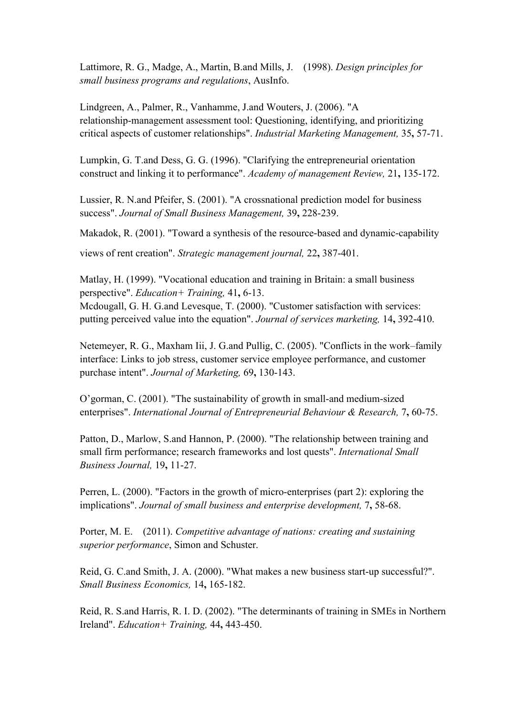Lattimore, R. G., Madge, A., Martin, B.and Mills, J. (1998). *Design principles for small business programs and regulations*, AusInfo.

Lindgreen, A., Palmer, R., Vanhamme, J.and Wouters, J. (2006). "A relationship-management assessment tool: Questioning, identifying, and prioritizing critical aspects of customer relationships". *Industrial Marketing Management,* 35**,** 57-71.

Lumpkin, G. T.and Dess, G. G. (1996). "Clarifying the entrepreneurial orientation construct and linking it to performance". *Academy of management Review,* 21**,** 135-172.

Lussier, R. N.and Pfeifer, S. (2001). "A crossnational prediction model for business success". *Journal of Small Business Management,* 39**,** 228-239.

Makadok, R. (2001). "Toward a synthesis of the resource-based and dynamic-capability

views of rent creation". *Strategic management journal,* 22**,** 387-401.

Matlay, H. (1999). "Vocational education and training in Britain: a small business perspective". *Education+ Training,* 41**,** 6-13. Mcdougall, G. H. G.and Levesque, T. (2000). "Customer satisfaction with services: putting perceived value into the equation". *Journal of services marketing,* 14**,** 392-410.

Netemeyer, R. G., Maxham Iii, J. G.and Pullig, C. (2005). "Conflicts in the work–family interface: Links to job stress, customer service employee performance, and customer purchase intent". *Journal of Marketing,* 69**,** 130-143.

O'gorman, C. (2001). "The sustainability of growth in small-and medium-sized enterprises". *International Journal of Entrepreneurial Behaviour & Research,* 7**,** 60-75.

Patton, D., Marlow, S.and Hannon, P. (2000). "The relationship between training and small firm performance; research frameworks and lost quests". *International Small Business Journal,* 19**,** 11-27.

Perren, L. (2000). "Factors in the growth of micro-enterprises (part 2): exploring the implications". *Journal of small business and enterprise development,* 7**,** 58-68.

Porter, M. E. (2011). *Competitive advantage of nations: creating and sustaining superior performance*, Simon and Schuster.

Reid, G. C.and Smith, J. A. (2000). "What makes a new business start-up successful?". *Small Business Economics,* 14**,** 165-182.

Reid, R. S.and Harris, R. I. D. (2002). "The determinants of training in SMEs in Northern Ireland". *Education+ Training,* 44**,** 443-450.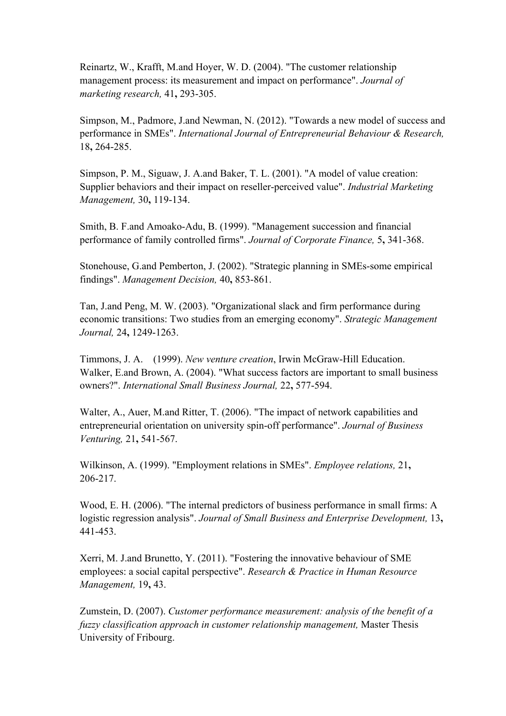Reinartz, W., Krafft, M.and Hoyer, W. D. (2004). "The customer relationship management process: its measurement and impact on performance". *Journal of marketing research,* 41**,** 293-305.

Simpson, M., Padmore, J.and Newman, N. (2012). "Towards a new model of success and performance in SMEs". *International Journal of Entrepreneurial Behaviour & Research,* 18**,** 264-285.

Simpson, P. M., Siguaw, J. A.and Baker, T. L. (2001). "A model of value creation: Supplier behaviors and their impact on reseller-perceived value". *Industrial Marketing Management,* 30**,** 119-134.

Smith, B. F.and Amoako-Adu, B. (1999). "Management succession and financial performance of family controlled firms". *Journal of Corporate Finance,* 5**,** 341-368.

Stonehouse, G.and Pemberton, J. (2002). "Strategic planning in SMEs-some empirical findings". *Management Decision,* 40**,** 853-861.

Tan, J.and Peng, M. W. (2003). "Organizational slack and firm performance during economic transitions: Two studies from an emerging economy". *Strategic Management Journal,* 24**,** 1249-1263.

Timmons, J. A. (1999). *New venture creation*, Irwin McGraw-Hill Education. Walker, E.and Brown, A. (2004). "What success factors are important to small business owners?". *International Small Business Journal,* 22**,** 577-594.

Walter, A., Auer, M.and Ritter, T. (2006). "The impact of network capabilities and entrepreneurial orientation on university spin-off performance". *Journal of Business Venturing,* 21**,** 541-567.

Wilkinson, A. (1999). "Employment relations in SMEs". *Employee relations,* 21**,** 206-217.

Wood, E. H. (2006). "The internal predictors of business performance in small firms: A logistic regression analysis". *Journal of Small Business and Enterprise Development,* 13**,** 441-453.

Xerri, M. J.and Brunetto, Y. (2011). "Fostering the innovative behaviour of SME employees: a social capital perspective". *Research & Practice in Human Resource Management,* 19**,** 43.

Zumstein, D. (2007). *Customer performance measurement: analysis of the benefit of a fuzzy classification approach in customer relationship management,* Master Thesis University of Fribourg.